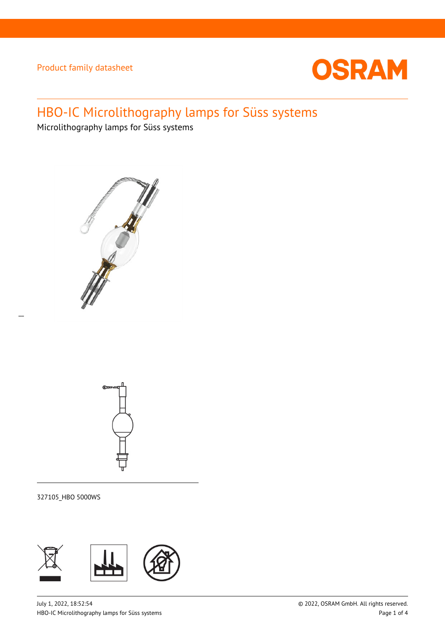

# HBO-IC Microlithography lamps for Süss systems

Microlithography lamps for Süss systems





327105\_HBO 5000WS

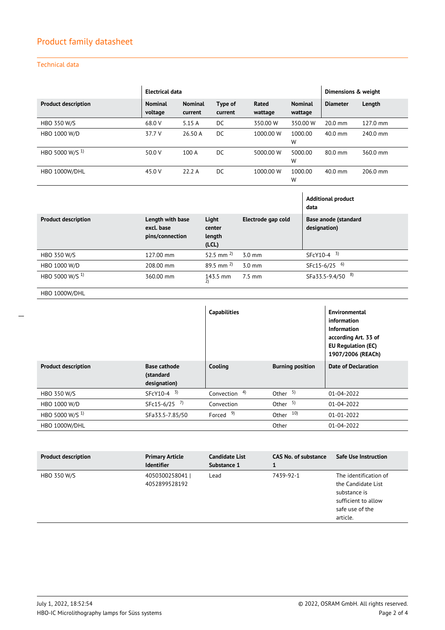## Product family datasheet

### Technical data

|                            | <b>Electrical data</b>                            |                           |                                    |  | Dimensions & weight |                           |          |                                      |          |
|----------------------------|---------------------------------------------------|---------------------------|------------------------------------|--|---------------------|---------------------------|----------|--------------------------------------|----------|
| <b>Product description</b> | <b>Nominal</b><br>voltage                         | <b>Nominal</b><br>current | Type of<br>current                 |  | Rated<br>wattage    | <b>Nominal</b><br>wattage |          | <b>Diameter</b>                      | Length   |
| <b>HBO 350 W/S</b>         | 68.0 V                                            | 5.15 A                    | DC                                 |  | 350.00 W            |                           | 350.00 W | 20.0 mm                              | 127.0 mm |
| HBO 1000 W/D               | 37.7 V                                            | 26.50 A                   | DC                                 |  | 1000.00 W           | 1000.00<br>W              |          | 40.0 mm                              | 240.0 mm |
| HBO 5000 W/S <sup>1)</sup> | 50.0 V                                            | 100 A                     | DC                                 |  | 5000.00 W           | 5000.00<br>W              |          | 80.0 mm                              | 360.0 mm |
| HBO 1000W/DHL              | 45.0 V                                            | 22.2A                     | <b>DC</b>                          |  | 1000.00 W           | 1000.00<br>W              |          | $40.0$ mm                            | 206.0 mm |
|                            |                                                   |                           |                                    |  |                     |                           | data     | <b>Additional product</b>            |          |
| <b>Product description</b> | Length with base<br>excl. base<br>pins/connection |                           | Light<br>center<br>length<br>(LCL) |  | Electrode gap cold  |                           |          | Base anode (standard<br>designation) |          |
| <b>HBO 350 W/S</b>         | 127.00 mm                                         |                           | 52.5 mm $^{2)}$                    |  | $3.0 \text{ mm}$    |                           | SFcY10-4 | 3)                                   |          |
| HBO 1000 W/D               | 208.00 mm                                         |                           | 89.5 mm $^{2}$                     |  | $3.0$ mm            |                           |          | SFc15-6/25 6)                        |          |
| HBO 5000 W/S <sup>1)</sup> | 360.00 mm                                         |                           | 143.5 mm<br>2)                     |  | $7.5 \text{ mm}$    |                           |          | 8)<br>SFa33.5-9.4/50                 |          |

HBO 1000W/DHL

 $\overline{a}$ 

|                            |                                                  | <b>Capabilities</b>      |                         | Environmental<br>information<br><b>Information</b><br>according Art. 33 of<br><b>EU Regulation (EC)</b><br>1907/2006 (REACh) |
|----------------------------|--------------------------------------------------|--------------------------|-------------------------|------------------------------------------------------------------------------------------------------------------------------|
| <b>Product description</b> | <b>Base cathode</b><br>(standard<br>designation) | Cooling                  | <b>Burning position</b> | <b>Date of Declaration</b>                                                                                                   |
| <b>HBO 350 W/S</b>         | $SFCY10-4$ <sup>3)</sup>                         | Convection <sup>4)</sup> | Other $5)$              | $01 - 04 - 2022$                                                                                                             |
| HBO 1000 W/D               | 7)<br>SFc15-6/25                                 | Convection               | Other $5$ )             | $01 - 04 - 2022$                                                                                                             |
| HBO 5000 W/S <sup>1)</sup> | SFa33.5-7.85/50                                  | Forced <sup>9)</sup>     | Other 10)               | 01-01-2022                                                                                                                   |
| HBO 1000W/DHL              |                                                  |                          | Other                   | 01-04-2022                                                                                                                   |

| <b>Product description</b> | <b>Primary Article</b><br><b>Identifier</b> | <b>Candidate List</b><br>Substance 1 | <b>CAS No. of substance</b> | <b>Safe Use Instruction</b>                                                                                       |
|----------------------------|---------------------------------------------|--------------------------------------|-----------------------------|-------------------------------------------------------------------------------------------------------------------|
| HBO 350 W/S                | 4050300258041  <br>4052899528192            | Lead                                 | 7439-92-1                   | The identification of<br>the Candidate List<br>substance is<br>sufficient to allow<br>safe use of the<br>article. |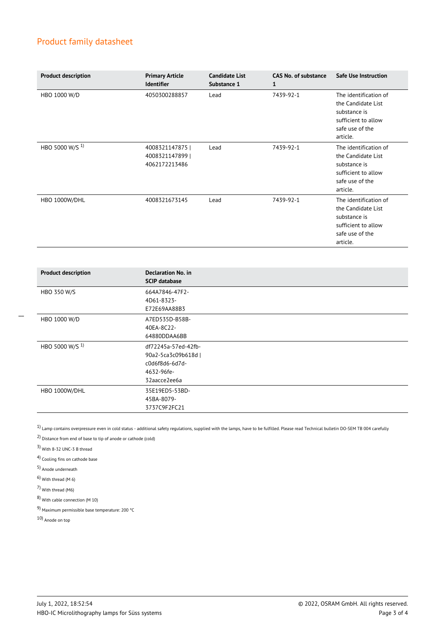### Product family datasheet

| <b>Product description</b> | <b>Primary Article</b><br><b>Identifier</b>         | <b>Candidate List</b><br>Substance 1 | <b>CAS No. of substance</b><br>1 | <b>Safe Use Instruction</b>                                                                                       |
|----------------------------|-----------------------------------------------------|--------------------------------------|----------------------------------|-------------------------------------------------------------------------------------------------------------------|
| HBO 1000 W/D               | 4050300288857                                       | Lead                                 | 7439-92-1                        | The identification of<br>the Candidate List<br>substance is<br>sufficient to allow<br>safe use of the<br>article. |
| HBO 5000 W/S <sup>1)</sup> | 4008321147875  <br>4008321147899  <br>4062172213486 | Lead                                 | 7439-92-1                        | The identification of<br>the Candidate List<br>substance is<br>sufficient to allow<br>safe use of the<br>article. |
| HBO 1000W/DHL              | 4008321673145                                       | Lead                                 | 7439-92-1                        | The identification of<br>the Candidate List<br>substance is<br>sufficient to allow<br>safe use of the<br>article. |

| <b>Product description</b> | <b>Declaration No. in</b><br><b>SCIP database</b> |
|----------------------------|---------------------------------------------------|
| HBO 350 W/S                | 664A7846-47F2-                                    |
|                            | 4D61-8323-                                        |
|                            | E72E69AA88B3                                      |
| HBO 1000 W/D               | A7ED535D-B58B-                                    |
|                            | 40EA-8C22-                                        |
|                            | 64880DDAA6BB                                      |
| HBO 5000 W/S <sup>1)</sup> | df72245a-57ed-42fb-                               |
|                            | 90a2-5ca3c09b618d                                 |
|                            | c0d6f8d6-6d7d-                                    |
|                            | 4632-96fe-                                        |
|                            | 32aacce2ee6a                                      |
| HBO 1000W/DHL              | 35E19ED5-53BD-                                    |
|                            | 45BA-8079-                                        |
|                            | 3737C9F2FC21                                      |

 $1)$  Lamp contains overpressure even in cold status - additional safety regulations, supplied with the lamps, have to be fulfilled. Please read Technical bulletin DO-SEM TB 004 carefully

2) Distance from end of base to tip of anode or cathode (cold)

3) With 8-32 UNC-3 B thread

4) Cooling fins on cathode base

5) Anode underneath

 $\overline{a}$ 

6) With thread (M 6)

7) With thread (M6)

8) With cable connection (M 10)

9) Maximum permissible base temperature: 200 °C

10) Anode on top